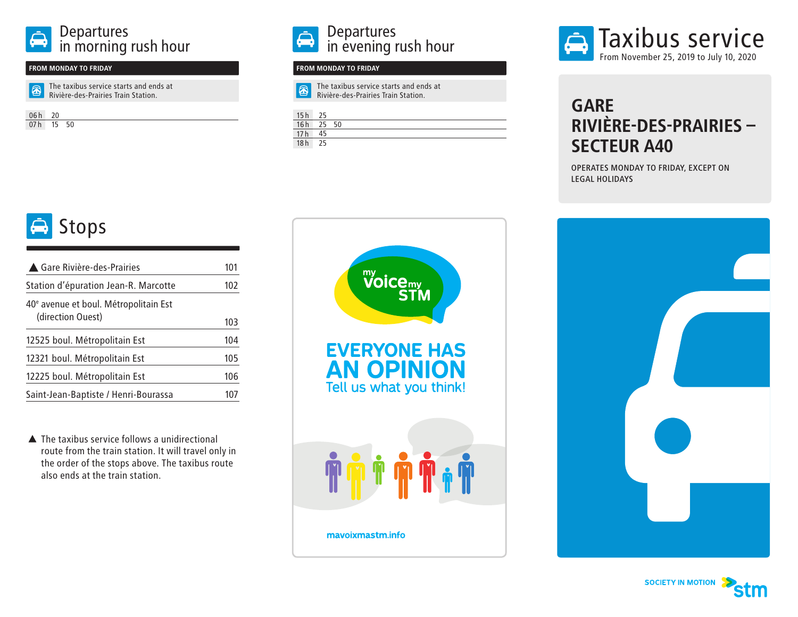### **FROM MONDAY TO FRIDAY FROM MONDAY TO FRIDAY**

 $\boxed{\textcircled{\small 2}}$ The taxibus service starts and ends at

Rivière-des-Prairies Train Station.

06h 20 07h 15 50

## Stops

| ▲ Gare Rivière-des-Prairies                       | 101 |  |  |
|---------------------------------------------------|-----|--|--|
| Station d'épuration Jean-R. Marcotte              |     |  |  |
| 40 <sup>e</sup> avenue et boul. Métropolitain Est |     |  |  |
| (direction Ouest)                                 | 103 |  |  |
| 12525 boul. Métropolitain Est                     | 104 |  |  |
| 12321 boul. Métropolitain Est                     | 105 |  |  |
| 12225 boul. Métropolitain Est                     | 106 |  |  |
| Saint-Jean-Baptiste / Henri-Bourassa              | 107 |  |  |

▲ The taxibus service follows a unidirectional route from the train station. It will travel only in the order of the stops above. The taxibus route also ends at the train station.



凤 The taxibus service starts and ends at Rivière-des-Prairies Train Station.

| 16h             | 50 |  |
|-----------------|----|--|
| $\frac{1}{17}h$ |    |  |
| 18h             |    |  |



### **GARE RIVIÈRE-DES-PRAIRIES – SECTEUR A40**

OPERATES MONDAY TO FRIDAY, EXCEPT ON LEGAL HOLIDAYS